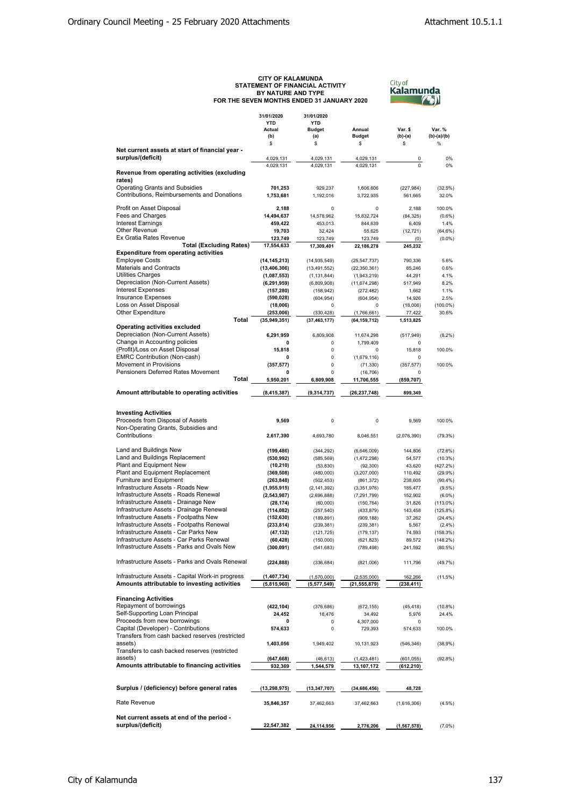## CITY OF KALAMUNDA<br>STATEMENT OF FINANCIAL ACTIVITY<br>FOR THE SEVEN MONTIRE AND TYPE<br>FOR THE SEVEN MONTHS ENDED 31 JANUARY 2020

<sup>Cityof</sup><br><mark>Kalamunda</mark> **TEAN** 

|                                                  | 31/01/2020     | 31/01/2020     | Annual         |               | Var. %        |
|--------------------------------------------------|----------------|----------------|----------------|---------------|---------------|
|                                                  | <b>YTD</b>     | <b>YTD</b>     |                |               |               |
|                                                  | Actual         | <b>Budget</b>  |                | Var. \$       |               |
|                                                  | (b)            | (a)            | <b>Budget</b>  | (b)-(a)       | $(b)-(a)/(b)$ |
|                                                  | \$             | \$             | \$             | \$            | $\%$          |
| Net current assets at start of financial year -  |                |                |                |               |               |
| surplus/(deficit)                                | 4,029,131      | 4,029,131      | 4,029,131      | 0             | 0%            |
|                                                  | 4.029.131      | 4,029,131      | 4,029,131      | $\Omega$      | 0%            |
| Revenue from operating activities (excluding     |                |                |                |               |               |
| rates)                                           |                |                |                |               |               |
| <b>Operating Grants and Subsidies</b>            |                |                |                |               |               |
|                                                  | 701,253        | 929,237        | 1,606,606      | (227, 984)    | (32.5%)       |
| Contributions, Reimbursements and Donations      | 1,753,681      | 1,192,016      | 3,722,935      | 561,665       | 32.0%         |
|                                                  |                |                |                |               |               |
| Profit on Asset Disposal                         | 2,188          | 0              | $\mathbf 0$    | 2,188         | 100.0%        |
| Fees and Charges                                 | 14,494,637     | 14,578,962     | 15,832,724     | (84, 325)     | (0.6%         |
| <b>Interest Earnings</b>                         | 459,422        | 453,013        | 844,639        | 6,409         | 1.4%          |
| <b>Other Revenue</b>                             | 19,703         | 32,424         | 55,625         | (12, 721)     | $(64.6\%)$    |
| Ex Gratia Rates Revenue                          | 123,749        | 123,749        | 123,749        | (0)           | (0.0%         |
| <b>Total (Excluding Rates)</b>                   | 17,554,633     | 17.309.401     | 22,186,278     | 245.232       |               |
| <b>Expenditure from operating activities</b>     |                |                |                |               |               |
|                                                  |                |                |                |               |               |
| <b>Employee Costs</b>                            | (14, 145, 213) | (14, 935, 549) | (25, 547, 737) | 790,336       | 5.6%          |
| <b>Materials and Contracts</b>                   | (13, 406, 306) | (13, 491, 552) | (22, 350, 361) | 85,246        | 0.6%          |
| Utilities Charges                                | (1,087,553)    | (1, 131, 844)  | (1,943,219)    | 44,291        | 4.1%          |
| Depreciation (Non-Current Assets)                | (6, 291, 959)  | (6,809,908)    | (11, 674, 298) | 517,949       | 8.2%          |
| <b>Interest Expenses</b>                         | (157, 280)     | (158, 942)     | (272, 482)     | 1,662         | 1.1%          |
| <b>Insurance Expenses</b>                        |                |                |                |               |               |
|                                                  | (590, 028)     | (604, 954)     | (604, 954)     | 14,926        | 2.5%          |
| Loss on Asset Disposal                           | (18,006)       | $\Omega$       | $\mathbf 0$    | (18,006)      | $(100.0\%)$   |
| Other Expenditure                                | (253,006)      | (330, 428)     | (1,766,661)    | 77,422        | 30.6%         |
| Total                                            | (35, 949, 351) | (37, 463, 177) | (64, 159, 712) | 1,513,825     |               |
| <b>Operating activities excluded</b>             |                |                |                |               |               |
| Depreciation (Non-Current Assets)                |                | 6,809,908      |                | (517, 949)    |               |
|                                                  | 6,291,959      |                | 11,674,298     |               | $(8.2\%)$     |
| Change in Accounting policies                    | 0              | 0              | 1,799,409      | $\Omega$      |               |
| (Profit)/Loss on Asset Disposal                  | 15,818         | $\mathbf 0$    | $\mathbf 0$    | 15,818        | 100.0%        |
| EMRC Contribution (Non-cash)                     | 0              | $\mathbf 0$    | (1,679,116)    | 0             |               |
| Movement in Provisions                           | (357, 577)     | 0              | (71, 330)      | (357, 577)    | 100.0%        |
| Pensioners Deferred Rates Movement               | 0              | 0              |                | 0             |               |
|                                                  |                |                | (16, 706)      |               |               |
| Total                                            | 5,950,201      | 6,809,908      | 11,706,555     | (859,707)     |               |
|                                                  |                |                |                |               |               |
| Amount attributable to operating activities      | (8, 415, 387)  | (9, 314, 737)  | (26, 237, 748) | 899,349       |               |
|                                                  |                |                |                |               |               |
|                                                  |                |                |                |               |               |
| <b>Investing Activities</b>                      |                |                |                |               |               |
| Proceeds from Disposal of Assets                 | 9,569          | 0              | $\mathbf 0$    | 9,569         | 100.0%        |
| Non-Operating Grants, Subsidies and              |                |                |                |               |               |
| Contributions                                    |                | 4,693,780      |                |               |               |
|                                                  | 2,617,390      |                | 8,046,551      | (2,076,390)   | (79.3%)       |
|                                                  |                |                |                |               |               |
| Land and Buildings New                           | (199, 486)     | (344, 292)     | (6,646,009)    | 144,806       | (72.6%)       |
| Land and Buildings Replacement                   | (530, 992)     | (585, 569)     | (1,472,298)    | 54,577        | $(10.3\%)$    |
| Plant and Equipment New                          | (10, 210)      | (53, 830)      | (92, 300)      | 43,620        | (427.2%)      |
| Plant and Equipment Replacement                  |                |                |                |               |               |
|                                                  | (369, 508)     | (480,000)      | (3,207,000)    | 110,492       | (29.9%        |
| Furniture and Equipment                          | (263, 848)     | (502, 453)     | (861, 372)     | 238,605       | (90.4%        |
| Infrastructure Assets - Roads New                | (1, 955, 915)  | (2, 141, 392)  | (3,351,976)    | 185,477       | $(9.5\%)$     |
| Infrastructure Assets - Roads Renewal            | (2,543,987)    | (2,696,888)    | (7, 291, 799)  | 152,902       | $(6.0\%)$     |
| Infrastructure Assets - Drainage New             | (28, 174)      | (60,000)       | (150, 764)     | 31,826        | $(113.0\%)$   |
| Infrastructure Assets - Drainage Renewal         |                |                |                |               |               |
|                                                  | (114, 082)     | (257, 540)     | (433, 879)     | 143,458       | $(125.8\%)$   |
| Infrastructure Assets - Footpaths New            | (152, 630)     | (189, 891)     | (909, 188)     | 37,262        | (24.4%        |
| Infrastructure Assets - Footpaths Renewal        | (233, 814)     | (239, 381)     | (239, 381)     | 5,567         | (2.4%)        |
| Infrastructure Assets - Car Parks New            | (47, 132)      | (121, 725)     | (179, 137)     | 74,593        | $(158.3\%)$   |
| Infrastructure Assets - Car Parks Renewal        | (60, 428)      | (150,000)      | (621, 823)     | 89,572        | $(148.2\%)$   |
| Infrastructure Assets - Parks and Ovals New      |                |                |                |               |               |
|                                                  | (300, 091)     | (541, 683)     | (789, 498)     | 241,592       | $(80.5\%)$    |
|                                                  |                |                |                |               |               |
| Infrastructure Assets - Parks and Ovals Renewal  | (224, 888)     | (336, 684)     | (821,006)      | 111,796       | (49.7%)       |
|                                                  |                |                |                |               |               |
| Infrastructure Assets - Capital Work-in progress | (1,407,734)    | (1,570,000)    | (2,535,000)    | 162,266       | (11.5%)       |
| Amounts attributable to investing activities     | (5,815,960)    | (5,577,549)    | (21, 555, 879) | (238, 411)    |               |
|                                                  |                |                |                |               |               |
|                                                  |                |                |                |               |               |
| <b>Financing Activities</b>                      |                |                |                |               |               |
| Repayment of borrowings                          | (422, 104)     | (376, 686)     | (672, 155)     | (45, 418)     | $(10.8\%)$    |
| Self-Supporting Loan Principal                   | 24,452         | 18,476         | 34,492         | 5,976         | 24.4%         |
| Proceeds from new borrowings                     | 0              | 0              | 4,307,000      | 0             |               |
| Capital (Developer) - Contributions              |                |                |                |               |               |
|                                                  | 574,633        | 0              | 729,393        | 574,633       | 100.0%        |
| Transfers from cash backed reserves (restricted  |                |                |                |               |               |
| assets)                                          | 1,403,056      | 1,949,402      | 10,131,923     | (546, 346)    | (38.9%)       |
| Transfers to cash backed reserves (restricted    |                |                |                |               |               |
| assets)                                          | (647, 668)     |                |                |               |               |
|                                                  |                | (46, 613)      | (1,423,481)    | (601, 055)    | (92.8%)       |
| Amounts attributable to financing activities     | 932,369        | 1,544,579      | 13,107,172     | (612,210)     |               |
|                                                  |                |                |                |               |               |
|                                                  |                |                |                |               |               |
| Surplus / (deficiency) before general rates      | (13,298,975)   | (13, 347, 707) | (34, 686, 456) | 48,728        |               |
|                                                  |                |                |                |               |               |
|                                                  |                |                |                |               |               |
| Rate Revenue                                     | 35,846,357     | 37,462,663     | 37,462,663     | (1,616,306)   | $(4.5\%)$     |
|                                                  |                |                |                |               |               |
| Net current assets at end of the period -        |                |                |                |               |               |
| surplus/(deficit)                                | 22,547,382     | 24,114,956     | 2,776,206      | (1, 567, 578) | (7.0%         |